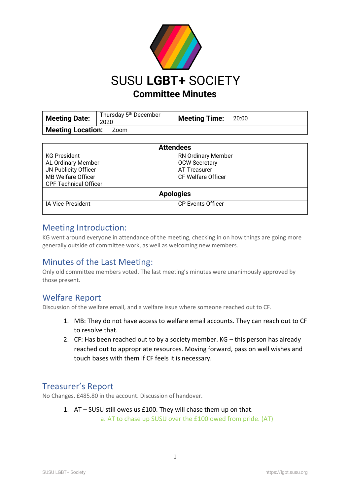

| <b>Meeting Date:</b>     | Thursday 5 <sup>th</sup> December<br>2020 |      | <b>Meeting Time:</b> | 20:00 |
|--------------------------|-------------------------------------------|------|----------------------|-------|
| <b>Meeting Location:</b> |                                           | Zoom |                      |       |

| <b>Attendees</b>             |                           |  |  |  |
|------------------------------|---------------------------|--|--|--|
| <b>KG President</b>          | <b>RN Ordinary Member</b> |  |  |  |
| AL Ordinary Member           | <b>OCW Secretary</b>      |  |  |  |
| JN Publicity Officer         | AT Treasurer              |  |  |  |
| <b>MB Welfare Officer</b>    | CF Welfare Officer        |  |  |  |
| <b>CPF Technical Officer</b> |                           |  |  |  |
| <b>Apologies</b>             |                           |  |  |  |
| <b>IA Vice-President</b>     | <b>CP Events Officer</b>  |  |  |  |
|                              |                           |  |  |  |

#### Meeting Introduction:

KG went around everyone in attendance of the meeting, checking in on how things are going more generally outside of committee work, as well as welcoming new members.

### Minutes of the Last Meeting:

Only old committee members voted. The last meeting's minutes were unanimously approved by those present.

### Welfare Report

Discussion of the welfare email, and a welfare issue where someone reached out to CF.

- 1. MB: They do not have access to welfare email accounts. They can reach out to CF to resolve that.
- 2. CF: Has been reached out to by a society member. KG this person has already reached out to appropriate resources. Moving forward, pass on well wishes and touch bases with them if CF feels it is necessary.

### Treasurer's Report

No Changes. £485.80 in the account. Discussion of handover.

1. AT – SUSU still owes us £100. They will chase them up on that. a. AT to chase up SUSU over the £100 owed from pride. (AT)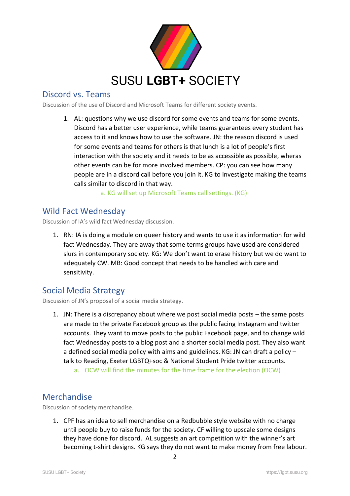

### Discord vs. Teams

Discussion of the use of Discord and Microsoft Teams for different society events.

1. AL: questions why we use discord for some events and teams for some events. Discord has a better user experience, while teams guarantees every student has access to it and knows how to use the software. JN: the reason discord is used for some events and teams for others is that lunch is a lot of people's first interaction with the society and it needs to be as accessible as possible, wheras other events can be for more involved members. CP: you can see how many people are in a discord call before you join it. KG to investigate making the teams calls similar to discord in that way.

a. KG will set up Microsoft Teams call settings. (KG)

### Wild Fact Wednesday

Discussion of IA's wild fact Wednesday discussion.

1. RN: IA is doing a module on queer history and wants to use it as information for wild fact Wednesday. They are away that some terms groups have used are considered slurs in contemporary society. KG: We don't want to erase history but we do want to adequately CW. MB: Good concept that needs to be handled with care and sensitivity.

# Social Media Strategy

Discussion of JN's proposal of a social media strategy.

- 1. JN: There is a discrepancy about where we post social media posts the same posts are made to the private Facebook group as the public facing Instagram and twitter accounts. They want to move posts to the public Facebook page, and to change wild fact Wednesday posts to a blog post and a shorter social media post. They also want a defined social media policy with aims and guidelines. KG: JN can draft a policy – talk to Reading, Exeter LGBTQ+soc & National Student Pride twitter accounts.
	- a. OCW will find the minutes for the time frame for the election (OCW)

# Merchandise

Discussion of society merchandise.

1. CPF has an idea to sell merchandise on a Redbubble style website with no charge until people buy to raise funds for the society. CF willing to upscale some designs they have done for discord. AL suggests an art competition with the winner's art becoming t-shirt designs. KG says they do not want to make money from free labour.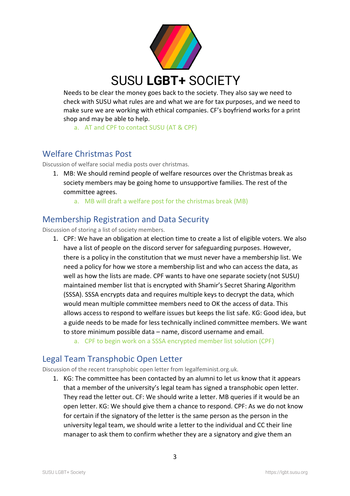

Needs to be clear the money goes back to the society. They also say we need to check with SUSU what rules are and what we are for tax purposes, and we need to make sure we are working with ethical companies. CF's boyfriend works for a print shop and may be able to help.

a. AT and CPF to contact SUSU (AT & CPF)

## Welfare Christmas Post

Discussion of welfare social media posts over christmas.

- 1. MB: We should remind people of welfare resources over the Christmas break as society members may be going home to unsupportive families. The rest of the committee agrees.
	- a. MB will draft a welfare post for the christmas break (MB)

## Membership Registration and Data Security

Discussion of storing a list of society members.

- 1. CPF: We have an obligation at election time to create a list of eligible voters. We also have a list of people on the discord server for safeguarding purposes. However, there is a policy in the constitution that we must never have a membership list. We need a policy for how we store a membership list and who can access the data, as well as how the lists are made. CPF wants to have one separate society (not SUSU) maintained member list that is encrypted with Shamir's Secret Sharing Algorithm (SSSA). SSSA encrypts data and requires multiple keys to decrypt the data, which would mean multiple committee members need to OK the access of data. This allows access to respond to welfare issues but keeps the list safe. KG: Good idea, but a guide needs to be made for less technically inclined committee members. We want to store minimum possible data – name, discord username and email.
	- a. CPF to begin work on a SSSA encrypted member list solution (CPF)

# Legal Team Transphobic Open Letter

Discussion of the recent transphobic open letter from legalfeminist.org.uk.

1. KG: The committee has been contacted by an alumni to let us know that it appears that a member of the university's legal team has signed a transphobic open letter. They read the letter out. CF: We should write a letter. MB queries if it would be an open letter. KG: We should give them a chance to respond. CPF: As we do not know for certain if the signatory of the letter is the same person as the person in the university legal team, we should write a letter to the individual and CC their line manager to ask them to confirm whether they are a signatory and give them an